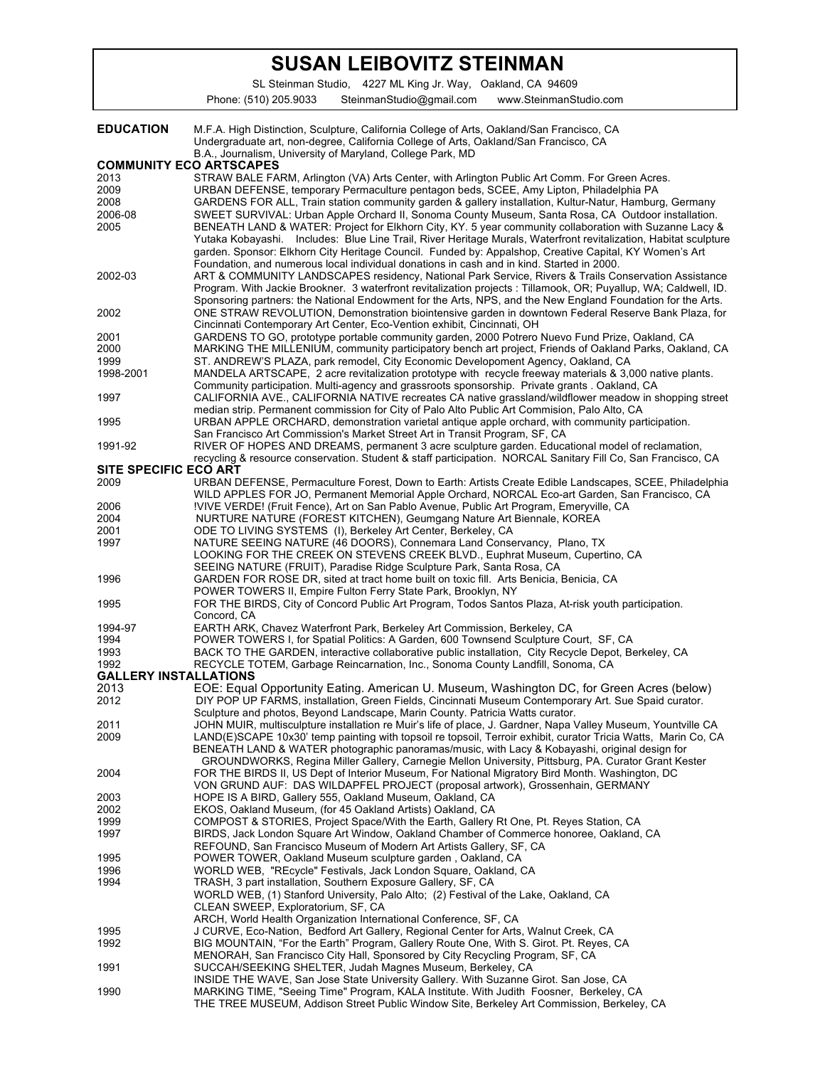## **SUSAN LEIBOVITZ STEINMAN**

SL Steinman Studio, 4227 ML King Jr. Way, Oakland, CA 94609

Phone: (510) 205.9033 SteinmanStudio@gmail.com www.SteinmanStudio.com

| <b>EDUCATION</b>                     | M.F.A. High Distinction, Sculpture, California College of Arts, Oakland/San Francisco, CA<br>Undergraduate art, non-degree, California College of Arts, Oakland/San Francisco, CA                         |
|--------------------------------------|-----------------------------------------------------------------------------------------------------------------------------------------------------------------------------------------------------------|
|                                      | B.A., Journalism, University of Maryland, College Park, MD                                                                                                                                                |
| <b>COMMUNITY ECO ARTSCAPES</b>       |                                                                                                                                                                                                           |
| 2013<br>2009                         | STRAW BALE FARM, Arlington (VA) Arts Center, with Arlington Public Art Comm. For Green Acres.<br>URBAN DEFENSE, temporary Permaculture pentagon beds, SCEE, Amy Lipton, Philadelphia PA                   |
| 2008                                 | GARDENS FOR ALL, Train station community garden & gallery installation, Kultur-Natur, Hamburg, Germany                                                                                                    |
| 2006-08                              | SWEET SURVIVAL: Urban Apple Orchard II, Sonoma County Museum, Santa Rosa, CA Outdoor installation.                                                                                                        |
| 2005                                 | BENEATH LAND & WATER: Project for Elkhorn City, KY. 5 year community collaboration with Suzanne Lacy &                                                                                                    |
|                                      | Yutaka Kobayashi. Includes: Blue Line Trail, River Heritage Murals, Waterfront revitalization, Habitat sculpture                                                                                          |
|                                      | garden. Sponsor: Elkhorn City Heritage Council. Funded by: Appalshop, Creative Capital, KY Women's Art                                                                                                    |
|                                      | Foundation, and numerous local individual donations in cash and in kind. Started in 2000.                                                                                                                 |
| 2002-03                              | ART & COMMUNITY LANDSCAPES residency, National Park Service, Rivers & Trails Conservation Assistance                                                                                                      |
|                                      | Program. With Jackie Brookner. 3 waterfront revitalization projects : Tillamook, OR; Puyallup, WA; Caldwell, ID.                                                                                          |
|                                      | Sponsoring partners: the National Endowment for the Arts, NPS, and the New England Foundation for the Arts.                                                                                               |
| 2002                                 | ONE STRAW REVOLUTION, Demonstration biointensive garden in downtown Federal Reserve Bank Plaza, for                                                                                                       |
|                                      | Cincinnati Contemporary Art Center, Eco-Vention exhibit, Cincinnati, OH                                                                                                                                   |
| 2001<br>2000                         | GARDENS TO GO, prototype portable community garden, 2000 Potrero Nuevo Fund Prize, Oakland, CA<br>MARKING THE MILLENIUM, community participatory bench art project, Friends of Oakland Parks, Oakland, CA |
| 1999                                 | ST. ANDREW'S PLAZA, park remodel, City Economic Developoment Agency, Oakland, CA                                                                                                                          |
| 1998-2001                            | MANDELA ARTSCAPE, 2 acre revitalization prototype with recycle freeway materials & 3,000 native plants.                                                                                                   |
|                                      | Community participation. Multi-agency and grassroots sponsorship. Private grants . Oakland, CA                                                                                                            |
| 1997                                 | CALIFORNIA AVE., CALIFORNIA NATIVE recreates CA native grassland/wildflower meadow in shopping street                                                                                                     |
|                                      | median strip. Permanent commission for City of Palo Alto Public Art Commision, Palo Alto, CA                                                                                                              |
| 1995                                 | URBAN APPLE ORCHARD, demonstration varietal antique apple orchard, with community participation.                                                                                                          |
|                                      | San Francisco Art Commission's Market Street Art in Transit Program, SF, CA                                                                                                                               |
| 1991-92                              | RIVER OF HOPES AND DREAMS, permanent 3 acre sculpture garden. Educational model of reclamation,                                                                                                           |
|                                      | recycling & resource conservation. Student & staff participation. NORCAL Sanitary Fill Co, San Francisco, CA                                                                                              |
| SITE SPECIFIC ECO ART                |                                                                                                                                                                                                           |
| 2009                                 | URBAN DEFENSE, Permaculture Forest, Down to Earth: Artists Create Edible Landscapes, SCEE, Philadelphia                                                                                                   |
|                                      | WILD APPLES FOR JO, Permanent Memorial Apple Orchard, NORCAL Eco-art Garden, San Francisco, CA                                                                                                            |
| 2006<br>2004                         | !VIVE VERDE! (Fruit Fence), Art on San Pablo Avenue, Public Art Program, Emeryville, CA<br>NURTURE NATURE (FOREST KITCHEN), Geumgang Nature Art Biennale, KOREA                                           |
| 2001                                 | ODE TO LIVING SYSTEMS (I), Berkeley Art Center, Berkeley, CA                                                                                                                                              |
| 1997                                 | NATURE SEEING NATURE (46 DOORS), Connemara Land Conservancy, Plano, TX                                                                                                                                    |
|                                      | LOOKING FOR THE CREEK ON STEVENS CREEK BLVD., Euphrat Museum, Cupertino, CA                                                                                                                               |
|                                      | SEEING NATURE (FRUIT), Paradise Ridge Sculpture Park, Santa Rosa, CA                                                                                                                                      |
| 1996                                 | GARDEN FOR ROSE DR, sited at tract home built on toxic fill. Arts Benicia, Benicia, CA                                                                                                                    |
|                                      | POWER TOWERS II, Empire Fulton Ferry State Park, Brooklyn, NY                                                                                                                                             |
| 1995                                 | FOR THE BIRDS, City of Concord Public Art Program, Todos Santos Plaza, At-risk youth participation.                                                                                                       |
|                                      | Concord, CA                                                                                                                                                                                               |
| 1994-97                              | EARTH ARK, Chavez Waterfront Park, Berkeley Art Commission, Berkeley, CA                                                                                                                                  |
| 1994                                 | POWER TOWERS I, for Spatial Politics: A Garden, 600 Townsend Sculpture Court, SF, CA                                                                                                                      |
| 1993                                 | BACK TO THE GARDEN, interactive collaborative public installation. City Recycle Depot, Berkeley, CA                                                                                                       |
| 1992                                 | RECYCLE TOTEM, Garbage Reincarnation, Inc., Sonoma County Landfill, Sonoma, CA                                                                                                                            |
| <b>GALLERY INSTALLATIONS</b><br>2013 | EOE: Equal Opportunity Eating. American U. Museum, Washington DC, for Green Acres (below)                                                                                                                 |
| 2012                                 | DIY POP UP FARMS, installation, Green Fields, Cincinnati Museum Contemporary Art. Sue Spaid curator.                                                                                                      |
|                                      | Sculpture and photos, Beyond Landscape, Marin County. Patricia Watts curator.                                                                                                                             |
| 2011                                 | JOHN MUIR, multisculpture installation re Muir's life of place, J. Gardner, Napa Valley Museum, Yountville CA                                                                                             |
| 2009                                 | LAND(E)SCAPE 10x30' temp painting with topsoil re topsoil, Terroir exhibit, curator Tricia Watts, Marin Co, CA                                                                                            |
|                                      | BENEATH LAND & WATER photographic panoramas/music, with Lacy & Kobayashi, original design for                                                                                                             |
|                                      | GROUNDWORKS, Regina Miller Gallery, Carnegie Mellon University, Pittsburg, PA. Curator Grant Kester                                                                                                       |
| 2004                                 | FOR THE BIRDS II, US Dept of Interior Museum, For National Migratory Bird Month. Washington, DC                                                                                                           |
|                                      | VON GRUND AUF: DAS WILDAPFEL PROJECT (proposal artwork), Grossenhain, GERMANY                                                                                                                             |
| 2003                                 | HOPE IS A BIRD, Gallery 555, Oakland Museum, Oakland, CA                                                                                                                                                  |
| 2002                                 | EKOS, Oakland Museum, (for 45 Oakland Artists) Oakland, CA                                                                                                                                                |
| 1999                                 | COMPOST & STORIES, Project Space/With the Earth, Gallery Rt One, Pt. Reyes Station, CA                                                                                                                    |
| 1997                                 | BIRDS, Jack London Square Art Window, Oakland Chamber of Commerce honoree, Oakland, CA                                                                                                                    |
|                                      | REFOUND, San Francisco Museum of Modern Art Artists Gallery, SF, CA                                                                                                                                       |
| 1995<br>1996                         | POWER TOWER, Oakland Museum sculpture garden, Oakland, CA<br>WORLD WEB, "REcycle" Festivals, Jack London Square, Oakland, CA                                                                              |
| 1994                                 | TRASH, 3 part installation, Southern Exposure Gallery, SF, CA                                                                                                                                             |
|                                      | WORLD WEB, (1) Stanford University, Palo Alto; (2) Festival of the Lake, Oakland, CA                                                                                                                      |
|                                      | CLEAN SWEEP, Exploratorium, SF, CA                                                                                                                                                                        |
|                                      | ARCH, World Health Organization International Conference, SF, CA                                                                                                                                          |
| 1995                                 | J CURVE, Eco-Nation, Bedford Art Gallery, Regional Center for Arts, Walnut Creek, CA                                                                                                                      |
| 1992                                 | BIG MOUNTAIN, "For the Earth" Program, Gallery Route One, With S. Girot. Pt. Reyes, CA                                                                                                                    |
|                                      | MENORAH, San Francisco City Hall, Sponsored by City Recycling Program, SF, CA                                                                                                                             |
| 1991                                 | SUCCAH/SEEKING SHELTER, Judah Magnes Museum, Berkeley, CA                                                                                                                                                 |
|                                      | INSIDE THE WAVE, San Jose State University Gallery. With Suzanne Girot. San Jose, CA                                                                                                                      |
| 1990                                 | MARKING TIME, "Seeing Time" Program, KALA Institute. With Judith Foosner, Berkeley, CA                                                                                                                    |
|                                      | THE TREE MUSEUM, Addison Street Public Window Site, Berkeley Art Commission, Berkeley, CA                                                                                                                 |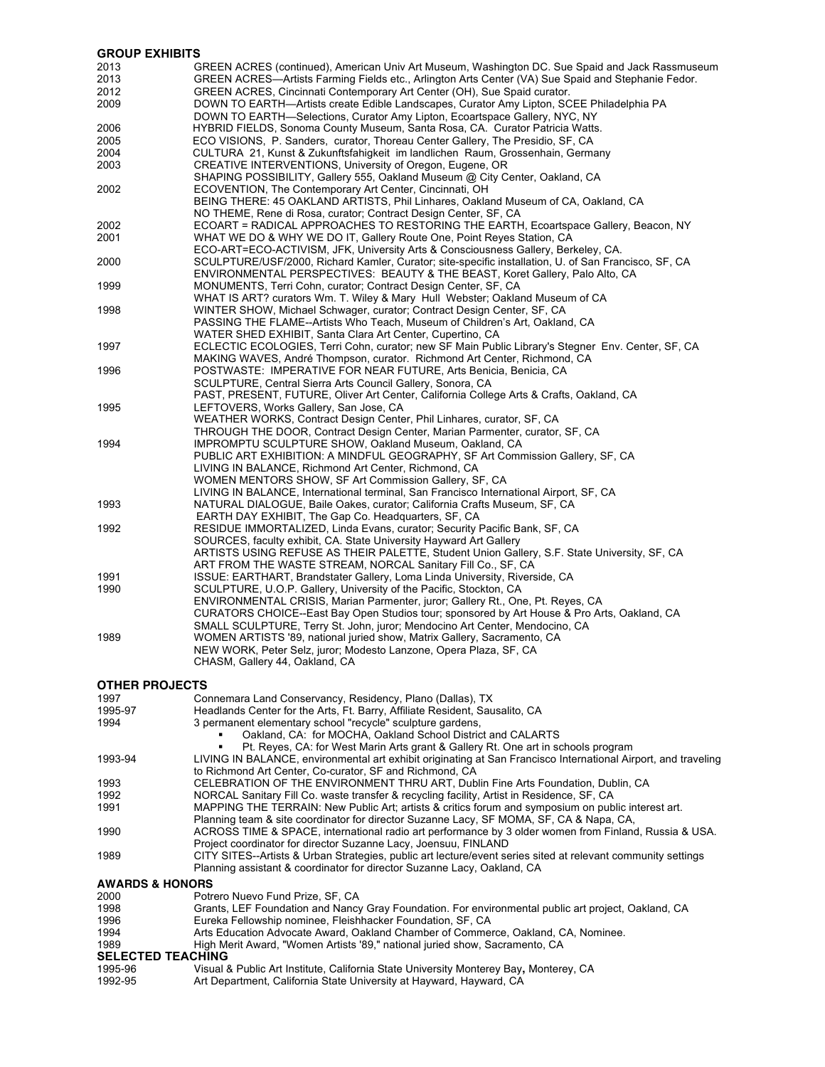| <b>GROUP EXHIBITS</b> |                                                                                                                                              |
|-----------------------|----------------------------------------------------------------------------------------------------------------------------------------------|
| 2013                  | GREEN ACRES (continued), American Univ Art Museum, Washington DC. Sue Spaid and Jack Rassmuseum                                              |
| 2013                  | GREEN ACRES—Artists Farming Fields etc., Arlington Arts Center (VA) Sue Spaid and Stephanie Fedor.                                           |
| 2012                  | GREEN ACRES, Cincinnati Contemporary Art Center (OH), Sue Spaid curator.                                                                     |
| 2009                  | DOWN TO EARTH—Artists create Edible Landscapes, Curator Amy Lipton, SCEE Philadelphia PA                                                     |
|                       | DOWN TO EARTH—Selections, Curator Amy Lipton, Ecoartspace Gallery, NYC, NY                                                                   |
| 2006                  | HYBRID FIELDS, Sonoma County Museum, Santa Rosa, CA. Curator Patricia Watts.                                                                 |
| 2005                  | ECO VISIONS, P. Sanders, curator, Thoreau Center Gallery, The Presidio, SF, CA                                                               |
| 2004                  | CULTURA 21, Kunst & Zukunftsfahigkeit im landlichen Raum, Grossenhain, Germany                                                               |
| 2003                  | CREATIVE INTERVENTIONS, University of Oregon, Eugene, OR                                                                                     |
|                       | SHAPING POSSIBILITY, Gallery 555, Oakland Museum @ City Center, Oakland, CA                                                                  |
| 2002                  | ECOVENTION, The Contemporary Art Center, Cincinnati, OH                                                                                      |
|                       | BEING THERE: 45 OAKLAND ARTISTS, Phil Linhares, Oakland Museum of CA, Oakland, CA                                                            |
|                       | NO THEME, Rene di Rosa, curator; Contract Design Center, SF, CA                                                                              |
|                       | ECOART = RADICAL APPROACHES TO RESTORING THE EARTH, Ecoartspace Gallery, Beacon, NY                                                          |
| 2002<br>2001          | WHAT WE DO & WHY WE DO IT, Gallery Route One, Point Reyes Station, CA                                                                        |
|                       | ECO-ART=ECO-ACTIVISM, JFK, University Arts & Consciousness Gallery, Berkeley, CA.                                                            |
|                       |                                                                                                                                              |
| 2000                  | SCULPTURE/USF/2000, Richard Kamler, Curator; site-specific installation, U. of San Francisco, SF, CA                                         |
|                       | ENVIRONMENTAL PERSPECTIVES: BEAUTY & THE BEAST, Koret Gallery, Palo Alto, CA                                                                 |
| 1999                  | MONUMENTS, Terri Cohn, curator; Contract Design Center, SF, CA                                                                               |
|                       | WHAT IS ART? curators Wm. T. Wiley & Mary Hull Webster; Oakland Museum of CA                                                                 |
| 1998                  | WINTER SHOW, Michael Schwager, curator; Contract Design Center, SF, CA                                                                       |
|                       | PASSING THE FLAME--Artists Who Teach, Museum of Children's Art, Oakland, CA                                                                  |
|                       | WATER SHED EXHIBIT, Santa Clara Art Center, Cupertino, CA                                                                                    |
| 1997                  | ECLECTIC ECOLOGIES, Terri Cohn, curator; new SF Main Public Library's Stegner Env. Center, SF, CA                                            |
|                       | MAKING WAVES, André Thompson, curator. Richmond Art Center, Richmond, CA<br>POSTWASTE: IMPERATIVE FOR NEAR FUTURE, Arts Benicia, Benicia, CA |
| 1996                  | SCULPTURE, Central Sierra Arts Council Gallery, Sonora, CA                                                                                   |
|                       | PAST, PRESENT, FUTURE, Oliver Art Center, California College Arts & Crafts, Oakland, CA                                                      |
|                       |                                                                                                                                              |
| 1995                  | LEFTOVERS, Works Gallery, San Jose, CA<br>WEATHER WORKS, Contract Design Center, Phil Linhares, curator, SF, CA                              |
|                       | THROUGH THE DOOR, Contract Design Center, Marian Parmenter, curator, SF, CA                                                                  |
| 1994                  | IMPROMPTU SCULPTURE SHOW, Oakland Museum, Oakland, CA                                                                                        |
|                       | PUBLIC ART EXHIBITION: A MINDFUL GEOGRAPHY, SF Art Commission Gallery, SF, CA                                                                |
|                       | LIVING IN BALANCE, Richmond Art Center, Richmond, CA                                                                                         |
|                       | WOMEN MENTORS SHOW, SF Art Commission Gallery, SF, CA                                                                                        |
|                       | LIVING IN BALANCE, International terminal, San Francisco International Airport, SF, CA                                                       |
| 1993                  | NATURAL DIALOGUE, Baile Oakes, curator; California Crafts Museum, SF, CA                                                                     |
|                       | EARTH DAY EXHIBIT, The Gap Co. Headquarters, SF, CA                                                                                          |
| 1992                  | RESIDUE IMMORTALIZED, Linda Evans, curator; Security Pacific Bank, SF, CA                                                                    |
|                       | SOURCES, faculty exhibit, CA. State University Hayward Art Gallery                                                                           |
|                       | ARTISTS USING REFUSE AS THEIR PALETTE, Student Union Gallery, S.F. State University, SF, CA                                                  |
|                       | ART FROM THE WASTE STREAM, NORCAL Sanitary Fill Co., SF, CA                                                                                  |
| 1991                  | ISSUE: EARTHART, Brandstater Gallery, Loma Linda University, Riverside, CA                                                                   |
| 1990                  | SCULPTURE, U.O.P. Gallery, University of the Pacific, Stockton, CA                                                                           |
|                       | ENVIRONMENTAL CRISIS, Marian Parmenter, juror; Gallery Rt., One, Pt. Reyes, CA                                                               |
|                       | CURATORS CHOICE--East Bay Open Studios tour; sponsored by Art House & Pro Arts, Oakland, CA                                                  |
|                       | SMALL SCULPTURE, Terry St. John, juror; Mendocino Art Center, Mendocino, CA                                                                  |
| 1989                  | WOMEN ARTISTS '89, national juried show, Matrix Gallery, Sacramento, CA                                                                      |
|                       | NEW WORK, Peter Selz, juror; Modesto Lanzone, Opera Plaza, SF, CA                                                                            |
|                       | CHASM, Gallery 44, Oakland, CA                                                                                                               |
|                       |                                                                                                                                              |
| <b>OTHER PROJECTS</b> |                                                                                                                                              |
| 1997                  | Connemara Land Conservancy, Residency, Plano (Dallas), TX                                                                                    |
| 1995-97               | Headlands Center for the Arts, Ft. Barry, Affiliate Resident, Sausalito, CA                                                                  |
| 1994                  | 3 permanent elementary school "recycle" sculpture gardens,                                                                                   |
|                       | Onlined CA: for MOCLIA, Onlined Cabool District<br>$204$ $011$ $10T$                                                                         |

| 1994                       | 3 permanent elementary school "recycle" sculpture gardens,                                                     |
|----------------------------|----------------------------------------------------------------------------------------------------------------|
|                            | Oakland, CA: for MOCHA, Oakland School District and CALARTS                                                    |
|                            | Pt. Reves, CA: for West Marin Arts grant & Gallery Rt. One art in schools program                              |
| 1993-94                    | LIVING IN BALANCE, environmental art exhibit originating at San Francisco International Airport, and traveling |
|                            | to Richmond Art Center, Co-curator, SF and Richmond, CA                                                        |
| 1993                       | CELEBRATION OF THE ENVIRONMENT THRU ART, Dublin Fine Arts Foundation, Dublin, CA                               |
| 1992                       | NORCAL Sanitary Fill Co. waste transfer & recycling facility, Artist in Residence, SF, CA                      |
| 1991                       | MAPPING THE TERRAIN: New Public Art; artists & critics forum and symposium on public interest art.             |
|                            | Planning team & site coordinator for director Suzanne Lacy, SF MOMA, SF, CA & Napa, CA,                        |
| 1990                       | ACROSS TIME & SPACE, international radio art performance by 3 older women from Finland, Russia & USA.          |
|                            | Project coordinator for director Suzanne Lacy, Joensuu, FINLAND                                                |
| 1989                       | CITY SITES--Artists & Urban Strategies, public art lecture/event series sited at relevant community settings   |
|                            | Planning assistant & coordinator for director Suzanne Lacy, Oakland, CA                                        |
| <b>AWARDS &amp; HONORS</b> |                                                                                                                |
| 2000                       | Potrero Nuevo Fund Prize, SF, CA                                                                               |
| 1998                       | Grants, LEF Foundation and Nancy Gray Foundation. For environmental public art project, Oakland, CA            |
| 1996                       | Eureka Fellowship nominee, Fleishhacker Foundation, SF, CA                                                     |
| 1994                       | Arts Education Advocate Award, Oakland Chamber of Commerce, Oakland, CA, Nominee.                              |
| 1989                       | High Merit Award, "Women Artists '89," national juried show, Sacramento, CA                                    |
| <b>SELECTED TEACHING</b>   |                                                                                                                |

## **SELECTED TEACHING**

| 1995-96 | Visual & Public Art Institute, California State University Monterey Bay, Monterey, CA |
|---------|---------------------------------------------------------------------------------------|
| 1992-95 | Art Department, California State University at Hayward, Hayward, CA                   |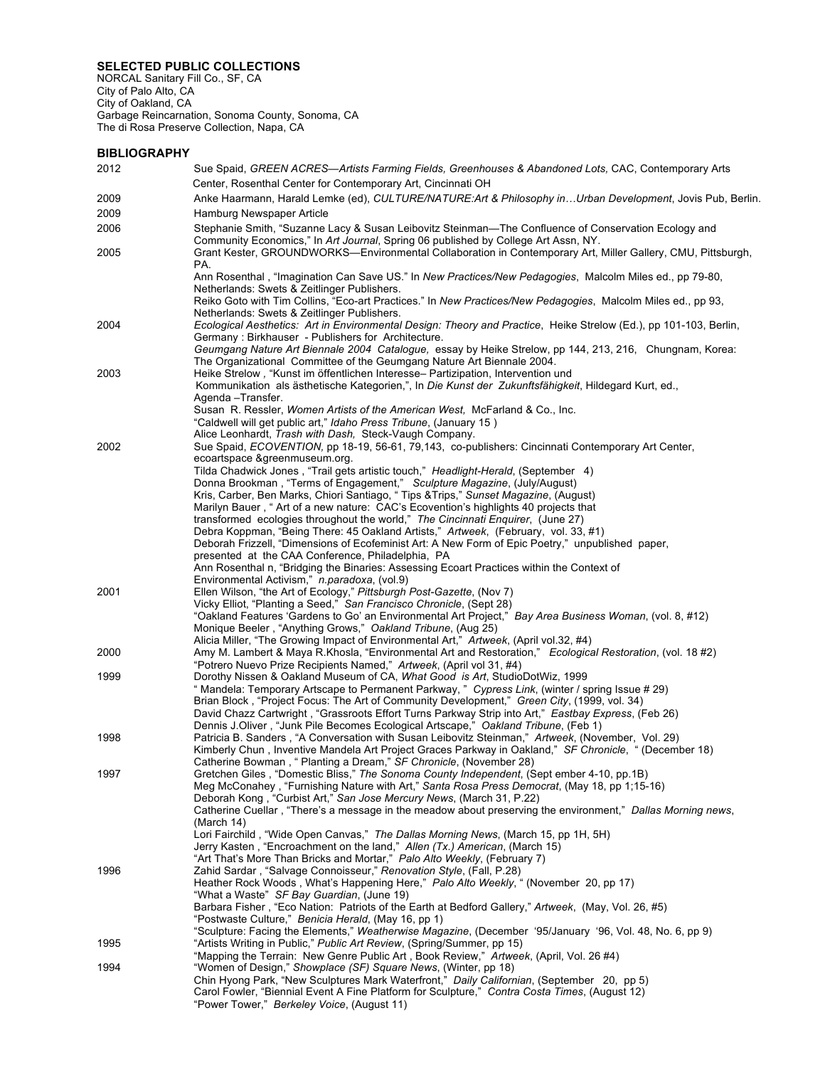## **SELECTED PUBLIC COLLECTIONS**

NORCAL Sanitary Fill Co., SF, CA City of Palo Alto, CA City of Oakland, CA Garbage Reincarnation, Sonoma County, Sonoma, CA The di Rosa Preserve Collection, Napa, CA

## **BIBLIOGRAPHY**

| 2012 | Sue Spaid, GREEN ACRES—Artists Farming Fields, Greenhouses & Abandoned Lots, CAC, Contemporary Arts<br>Center, Rosenthal Center for Contemporary Art, Cincinnati OH                        |
|------|--------------------------------------------------------------------------------------------------------------------------------------------------------------------------------------------|
| 2009 | Anke Haarmann, Harald Lemke (ed), CULTURE/NATURE:Art & Philosophy inUrban Development, Jovis Pub, Berlin.                                                                                  |
| 2009 | Hamburg Newspaper Article                                                                                                                                                                  |
| 2006 |                                                                                                                                                                                            |
|      | Stephanie Smith, "Suzanne Lacy & Susan Leibovitz Steinman—The Confluence of Conservation Ecology and<br>Community Economics," In Art Journal, Spring 06 published by College Art Assn, NY. |
| 2005 | Grant Kester, GROUNDWORKS—Environmental Collaboration in Contemporary Art, Miller Gallery, CMU, Pittsburgh,<br>PA.                                                                         |
|      | Ann Rosenthal, "Imagination Can Save US." In New Practices/New Pedagogies, Malcolm Miles ed., pp 79-80,                                                                                    |
|      | Netherlands: Swets & Zeitlinger Publishers.<br>Reiko Goto with Tim Collins, "Eco-art Practices." In New Practices/New Pedagogies, Malcolm Miles ed., pp 93,                                |
|      | Netherlands: Swets & Zeitlinger Publishers.                                                                                                                                                |
| 2004 | Ecological Aesthetics: Art in Environmental Design: Theory and Practice, Heike Strelow (Ed.), pp 101-103, Berlin,<br>Germany: Birkhauser - Publishers for Architecture.                    |
|      | Geumgang Nature Art Biennale 2004 Catalogue, essay by Heike Strelow, pp 144, 213, 216, Chungnam, Korea:<br>The Organizational Committee of the Geumgang Nature Art Biennale 2004.          |
| 2003 | Heike Strelow, "Kunst im öffentlichen Interesse- Partizipation, Intervention und<br>Kommunikation als ästhetische Kategorien,", In Die Kunst der Zukunftsfähigkeit, Hildegard Kurt, ed.,   |
|      | Agenda – Transfer.<br>Susan R. Ressler, <i>Women Artists of the American West</i> , McFarland & Co., Inc.                                                                                  |
|      | "Caldwell will get public art," Idaho Press Tribune, (January 15)<br>Alice Leonhardt, Trash with Dash, Steck-Vaugh Company.                                                                |
| 2002 | Sue Spaid, ECOVENTION, pp 18-19, 56-61, 79,143, co-publishers: Cincinnati Contemporary Art Center,                                                                                         |
|      | ecoartspace &greenmuseum.org.<br>Tilda Chadwick Jones, "Trail gets artistic touch," Headlight-Herald, (September 4)                                                                        |
|      | Donna Brookman, "Terms of Engagement," Sculpture Magazine, (July/August)                                                                                                                   |
|      | Kris, Carber, Ben Marks, Chiori Santiago, "Tips & Trips," Sunset Magazine, (August)                                                                                                        |
|      | Marilyn Bauer, "Art of a new nature: CAC's Ecovention's highlights 40 projects that                                                                                                        |
|      | transformed ecologies throughout the world," The Cincinnati Enquirer, (June 27)                                                                                                            |
|      | Debra Koppman, "Being There: 45 Oakland Artists," Artweek, (February, vol. 33, #1)<br>Deborah Frizzell, "Dimensions of Ecofeminist Art: A New Form of Epic Poetry," unpublished paper,     |
|      | presented at the CAA Conference, Philadelphia, PA                                                                                                                                          |
|      | Ann Rosenthal n, "Bridging the Binaries: Assessing Ecoart Practices within the Context of                                                                                                  |
|      | Environmental Activism," n.paradoxa, (vol.9)                                                                                                                                               |
| 2001 | Ellen Wilson, "the Art of Ecology," Pittsburgh Post-Gazette, (Nov 7)<br>Vicky Elliot, "Planting a Seed," San Francisco Chronicle, (Sept 28)                                                |
|      | "Oakland Features 'Gardens to Go' an Environmental Art Project," Bay Area Business Woman, (vol. 8, #12)                                                                                    |
|      | Monique Beeler, "Anything Grows," Oakland Tribune, (Aug 25)                                                                                                                                |
|      | Alicia Miller, "The Growing Impact of Environmental Art," Artweek, (April vol.32, #4)                                                                                                      |
| 2000 | Amy M. Lambert & Maya R.Khosla, "Environmental Art and Restoration," Ecological Restoration, (vol. 18 #2)                                                                                  |
| 1999 | "Potrero Nuevo Prize Recipients Named," Artweek, (April vol 31, #4)<br>Dorothy Nissen & Oakland Museum of CA, What Good is Art, StudioDotWiz, 1999                                         |
|      | " Mandela: Temporary Artscape to Permanent Parkway, " Cypress Link, (winter / spring Issue # 29)                                                                                           |
|      | Brian Block, "Project Focus: The Art of Community Development," Green City, (1999, vol. 34)                                                                                                |
|      | David Chazz Cartwright, "Grassroots Effort Turns Parkway Strip into Art," Eastbay Express, (Feb 26)                                                                                        |
|      | Dennis J.Oliver, "Junk Pile Becomes Ecological Artscape," Oakland Tribune, (Feb 1)<br>Patricia B. Sanders, "A Conversation with Susan Leibovitz Steinman," Artweek, (November, Vol. 29)    |
| 1998 | Kimberly Chun, Inventive Mandela Art Project Graces Parkway in Oakland," SF Chronicle, " (December 18)                                                                                     |
|      | Catherine Bowman, " Planting a Dream," SF Chronicle, (November 28)                                                                                                                         |
| 1997 | Gretchen Giles, "Domestic Bliss," The Sonoma County Independent, (Sept ember 4-10, pp.1B)                                                                                                  |
|      | Meg McConahey, "Furnishing Nature with Art," Santa Rosa Press Democrat, (May 18, pp 1:15-16)<br>Deborah Kong, "Curbist Art," San Jose Mercury News, (March 31, P.22)                       |
|      | Catherine Cuellar, "There's a message in the meadow about preserving the environment," Dallas Morning news,                                                                                |
|      | (March 14)                                                                                                                                                                                 |
|      | Lori Fairchild, "Wide Open Canvas," The Dallas Morning News, (March 15, pp 1H, 5H)                                                                                                         |
|      | Jerry Kasten, "Encroachment on the land," Allen (Tx.) American, (March 15)<br>"Art That's More Than Bricks and Mortar," Palo Alto Weekly, (February 7)                                     |
| 1996 | Zahid Sardar, "Salvage Connoisseur," Renovation Style, (Fall, P.28)                                                                                                                        |
|      | Heather Rock Woods, What's Happening Here," Palo Alto Weekly, "(November 20, pp 17)<br>"What a Waste" SF Bay Guardian, (June 19)                                                           |
|      | Barbara Fisher, "Eco Nation: Patriots of the Earth at Bedford Gallery," Artweek, (May, Vol. 26, #5)                                                                                        |
|      | "Postwaste Culture," Benicia Herald, (May 16, pp 1)<br>"Sculpture: Facing the Elements," Weatherwise Magazine, (December '95/January '96, Vol. 48, No. 6, pp 9)                            |
| 1995 | "Artists Writing in Public," Public Art Review, (Spring/Summer, pp 15)                                                                                                                     |
| 1994 | "Mapping the Terrain: New Genre Public Art, Book Review," Artweek, (April, Vol. 26 #4)<br>"Women of Design," Showplace (SF) Square News, (Winter, pp 18)                                   |
|      | Chin Hyong Park, "New Sculptures Mark Waterfront," Daily Californian, (September 20, pp 5)                                                                                                 |
|      | Carol Fowler, "Biennial Event A Fine Platform for Sculpture," Contra Costa Times, (August 12)                                                                                              |
|      | "Power Tower," Berkeley Voice, (August 11)                                                                                                                                                 |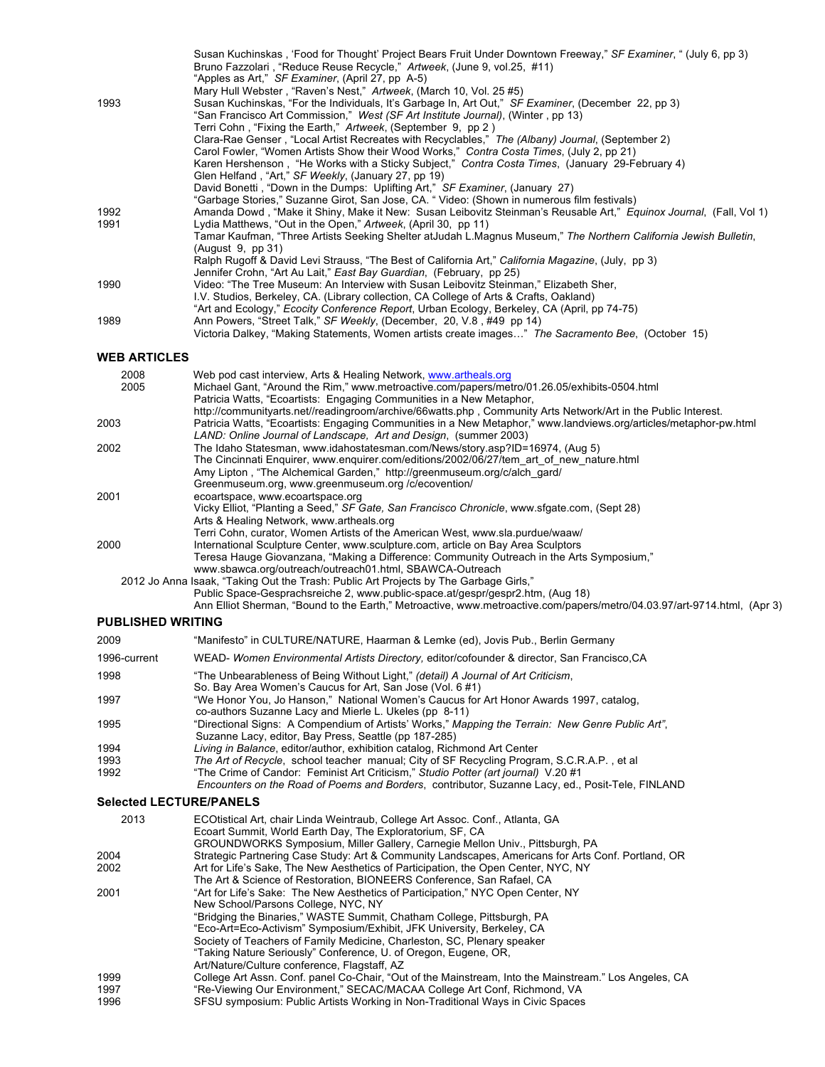|                                | Susan Kuchinskas, 'Food for Thought' Project Bears Fruit Under Downtown Freeway," SF Examiner, " (July 6, pp 3)<br>Bruno Fazzolari, "Reduce Reuse Recycle," Artweek, (June 9, vol.25, #11)                                                                                                                                                                                                                                                                               |
|--------------------------------|--------------------------------------------------------------------------------------------------------------------------------------------------------------------------------------------------------------------------------------------------------------------------------------------------------------------------------------------------------------------------------------------------------------------------------------------------------------------------|
| 1993                           | "Apples as Art," SF Examiner, (April 27, pp A-5)<br>Mary Hull Webster, "Raven's Nest," Artweek, (March 10, Vol. 25 #5)<br>Susan Kuchinskas, "For the Individuals, It's Garbage In, Art Out," SF Examiner, (December 22, pp 3)<br>"San Francisco Art Commission," West (SF Art Institute Journal), (Winter, pp 13)<br>Terri Cohn, "Fixing the Earth," Artweek, (September 9, pp 2)                                                                                        |
|                                | Clara-Rae Genser, "Local Artist Recreates with Recyclables," The (Albany) Journal, (September 2)<br>Carol Fowler, "Women Artists Show their Wood Works," Contra Costa Times, (July 2, pp 21)<br>Karen Hershenson, "He Works with a Sticky Subject," Contra Costa Times, (January 29-February 4)                                                                                                                                                                          |
|                                | Glen Helfand, "Art," SF Weekly, (January 27, pp 19)<br>David Bonetti, "Down in the Dumps: Uplifting Art," SF Examiner, (January 27)<br>"Garbage Stories," Suzanne Girot, San Jose, CA. " Video: (Shown in numerous film festivals)                                                                                                                                                                                                                                       |
| 1992<br>1991                   | Amanda Dowd, "Make it Shiny, Make it New: Susan Leibovitz Steinman's Reusable Art," Equinox Journal, (Fall, Vol 1)<br>Lydia Matthews, "Out in the Open," Artweek, (April 30, pp 11)<br>Tamar Kaufman, "Three Artists Seeking Shelter at Judah L.Magnus Museum," The Northern California Jewish Bulletin,                                                                                                                                                                 |
|                                | (August 9, pp 31)<br>Ralph Rugoff & David Levi Strauss, "The Best of California Art," California Magazine, (July, pp 3)                                                                                                                                                                                                                                                                                                                                                  |
| 1990                           | Jennifer Crohn, "Art Au Lait," East Bay Guardian, (February, pp 25)<br>Video: "The Tree Museum: An Interview with Susan Leibovitz Steinman," Elizabeth Sher,<br>I.V. Studios, Berkeley, CA. (Library collection, CA College of Arts & Crafts, Oakland)                                                                                                                                                                                                                   |
| 1989                           | "Art and Ecology," Ecocity Conference Report, Urban Ecology, Berkeley, CA (April, pp 74-75)<br>Ann Powers, "Street Talk," SF Weekly, (December, 20, V.8, #49 pp 14)<br>Victoria Dalkey, "Making Statements, Women artists create images" The Sacramento Bee, (October 15)                                                                                                                                                                                                |
| <b>WEB ARTICLES</b>            |                                                                                                                                                                                                                                                                                                                                                                                                                                                                          |
| 2008<br>2005                   | Web pod cast interview, Arts & Healing Network, www.artheals.org<br>Michael Gant, "Around the Rim," www.metroactive.com/papers/metro/01.26.05/exhibits-0504.html<br>Patricia Watts, "Ecoartists: Engaging Communities in a New Metaphor,                                                                                                                                                                                                                                 |
| 2003                           | http://communityarts.net//readingroom/archive/66watts.php, Community Arts Network/Art in the Public Interest.<br>Patricia Watts, "Ecoartists: Engaging Communities in a New Metaphor," www.landviews.org/articles/metaphor-pw.html<br>LAND: Online Journal of Landscape, Art and Design, (summer 2003)                                                                                                                                                                   |
| 2002                           | The Idaho Statesman, www.idahostatesman.com/News/story.asp?ID=16974, (Aug 5)<br>The Cincinnati Enquirer, www.enquirer.com/editions/2002/06/27/tem art of new nature.html<br>Amy Lipton, "The Alchemical Garden," http://greenmuseum.org/c/alch_gard/<br>Greenmuseum.org, www.greenmuseum.org /c/ecovention/                                                                                                                                                              |
| 2001                           | ecoartspace, www.ecoartspace.org<br>Vicky Elliot, "Planting a Seed," SF Gate, San Francisco Chronicle, www.sfgate.com, (Sept 28)<br>Arts & Healing Network, www.artheals.org                                                                                                                                                                                                                                                                                             |
| 2000                           | Terri Cohn, curator, Women Artists of the American West, www.sla.purdue/waaw/<br>International Sculpture Center, www.sculpture.com, article on Bay Area Sculptors<br>Teresa Hauge Giovanzana, "Making a Difference: Community Outreach in the Arts Symposium,"<br>www.sbawca.org/outreach/outreach01.html, SBAWCA-Outreach                                                                                                                                               |
|                                | 2012 Jo Anna Isaak, "Taking Out the Trash: Public Art Projects by The Garbage Girls,"<br>Public Space-Gesprachsreiche 2, www.public-space.at/gespr/gespr2.htm, (Aug 18)<br>Ann Elliot Sherman, "Bound to the Earth," Metroactive, www.metroactive.com/papers/metro/04.03.97/art-9714.html, (Apr 3)                                                                                                                                                                       |
| <b>PUBLISHED WRITING</b>       |                                                                                                                                                                                                                                                                                                                                                                                                                                                                          |
| 2009                           | "Manifesto" in CULTURE/NATURE, Haarman & Lemke (ed), Jovis Pub., Berlin Germany                                                                                                                                                                                                                                                                                                                                                                                          |
| 1996-current                   | WEAD- Women Environmental Artists Directory, editor/cofounder & director, San Francisco, CA                                                                                                                                                                                                                                                                                                                                                                              |
| 1998                           | "The Unbearableness of Being Without Light," (detail) A Journal of Art Criticism,<br>So. Bay Area Women's Caucus for Art, San Jose (Vol. 6#1)                                                                                                                                                                                                                                                                                                                            |
| 1997<br>1995                   | "We Honor You, Jo Hanson," National Women's Caucus for Art Honor Awards 1997, catalog,<br>co-authors Suzanne Lacy and Mierle L. Ukeles (pp 8-11)<br>"Directional Signs: A Compendium of Artists' Works," Mapping the Terrain: New Genre Public Art",                                                                                                                                                                                                                     |
|                                | Suzanne Lacy, editor, Bay Press, Seattle (pp 187-285)                                                                                                                                                                                                                                                                                                                                                                                                                    |
| 1994<br>1993                   | Living in Balance, editor/author, exhibition catalog, Richmond Art Center<br>The Art of Recycle, school teacher manual; City of SF Recycling Program, S.C.R.A.P., et al                                                                                                                                                                                                                                                                                                  |
| 1992                           | "The Crime of Candor: Feminist Art Criticism," Studio Potter (art journal) V.20 #1<br>Encounters on the Road of Poems and Borders, contributor, Suzanne Lacy, ed., Posit-Tele, FINLAND                                                                                                                                                                                                                                                                                   |
| <b>Selected LECTURE/PANELS</b> |                                                                                                                                                                                                                                                                                                                                                                                                                                                                          |
| 2013                           | ECOtistical Art, chair Linda Weintraub, College Art Assoc. Conf., Atlanta, GA<br>Ecoart Summit, World Earth Day, The Exploratorium, SF, CA<br>GROUNDWORKS Symposium, Miller Gallery, Carnegie Mellon Univ., Pittsburgh, PA                                                                                                                                                                                                                                               |
| 2004<br>2002                   | Strategic Partnering Case Study: Art & Community Landscapes, Americans for Arts Conf. Portland, OR<br>Art for Life's Sake, The New Aesthetics of Participation, the Open Center, NYC, NY<br>The Art & Science of Restoration, BIONEERS Conference, San Rafael, CA                                                                                                                                                                                                        |
| 2001                           | "Art for Life's Sake: The New Aesthetics of Participation," NYC Open Center, NY<br>New School/Parsons College, NYC, NY<br>"Bridging the Binaries," WASTE Summit, Chatham College, Pittsburgh, PA<br>"Eco-Art=Eco-Activism" Symposium/Exhibit, JFK University, Berkeley, CA<br>Society of Teachers of Family Medicine, Charleston, SC, Plenary speaker<br>"Taking Nature Seriously" Conference, U. of Oregon, Eugene, OR,<br>Art/Nature/Culture conference, Flagstaff, AZ |
| 1999                           | College Art Assn. Conf. panel Co-Chair, "Out of the Mainstream, Into the Mainstream." Los Angeles, CA                                                                                                                                                                                                                                                                                                                                                                    |
| 1997<br>1996                   | "Re-Viewing Our Environment," SECAC/MACAA College Art Conf, Richmond, VA<br>SFSU symposium: Public Artists Working in Non-Traditional Ways in Civic Spaces                                                                                                                                                                                                                                                                                                               |